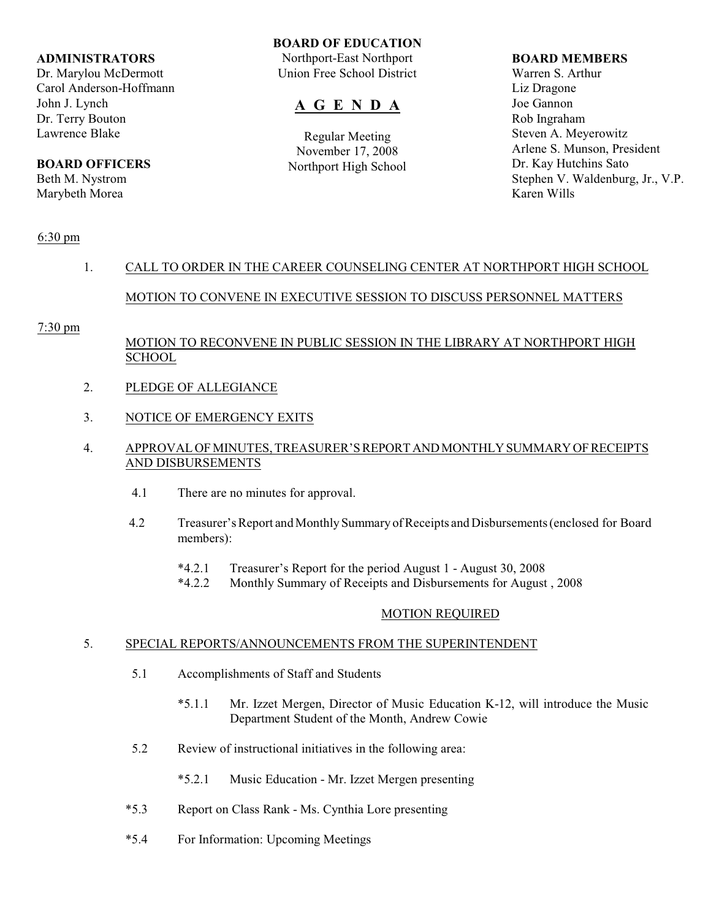#### **ADMINISTRATORS**

Dr. Marylou McDermott Carol Anderson-Hoffmann John J. Lynch Dr. Terry Bouton Lawrence Blake

## **BOARD OFFICERS**

Beth M. Nystrom Marybeth Morea

#### **BOARD OF EDUCATION**

Northport-East Northport Union Free School District

# **A G E N D A**

Regular Meeting November 17, 2008 Northport High School

#### **BOARD MEMBERS**

Warren S. Arthur Liz Dragone Joe Gannon Rob Ingraham Steven A. Meyerowitz Arlene S. Munson, President Dr. Kay Hutchins Sato Stephen V. Waldenburg, Jr., V.P. Karen Wills

## 6:30 pm

# 1. CALL TO ORDER IN THE CAREER COUNSELING CENTER AT NORTHPORT HIGH SCHOOL MOTION TO CONVENE IN EXECUTIVE SESSION TO DISCUSS PERSONNEL MATTERS

#### 7:30 pm

## MOTION TO RECONVENE IN PUBLIC SESSION IN THE LIBRARY AT NORTHPORT HIGH **SCHOOL**

- 2. PLEDGE OF ALLEGIANCE
- 3. NOTICE OF EMERGENCY EXITS

#### 4. APPROVAL OF MINUTES, TREASURER'S REPORT AND MONTHLY SUMMARY OF RECEIPTS AND DISBURSEMENTS

- 4.1 There are no minutes for approval.
- 4.2 Treasurer's Report and Monthly Summary of Receipts and Disbursements (enclosed for Board members):
	- \*4.2.1 Treasurer's Report for the period August 1 August 30, 2008
	- \*4.2.2 Monthly Summary of Receipts and Disbursements for August , 2008

#### MOTION REQUIRED

#### 5. SPECIAL REPORTS/ANNOUNCEMENTS FROM THE SUPERINTENDENT

- 5.1 Accomplishments of Staff and Students
	- \*5.1.1 Mr. Izzet Mergen, Director of Music Education K-12, will introduce the Music Department Student of the Month, Andrew Cowie
- 5.2 Review of instructional initiatives in the following area:
	- \*5.2.1 Music Education Mr. Izzet Mergen presenting
- \*5.3 Report on Class Rank Ms. Cynthia Lore presenting
- \*5.4 For Information: Upcoming Meetings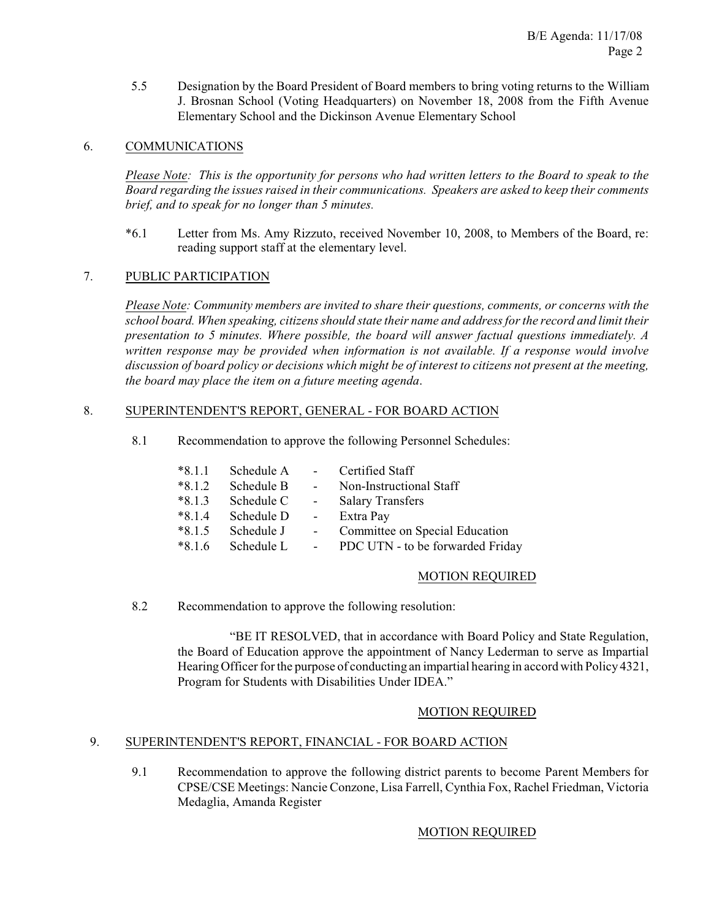5.5 Designation by the Board President of Board members to bring voting returns to the William J. Brosnan School (Voting Headquarters) on November 18, 2008 from the Fifth Avenue Elementary School and the Dickinson Avenue Elementary School

## 6. COMMUNICATIONS

*Please Note: This is the opportunity for persons who had written letters to the Board to speak to the Board regarding the issues raised in their communications. Speakers are asked to keep their comments brief, and to speak for no longer than 5 minutes.*

\*6.1 Letter from Ms. Amy Rizzuto, received November 10, 2008, to Members of the Board, re: reading support staff at the elementary level.

## 7. PUBLIC PARTICIPATION

*Please Note: Community members are invited to share their questions, comments, or concerns with the school board. When speaking, citizens should state their name and address for the record and limit their presentation to 5 minutes. Where possible, the board will answer factual questions immediately. A written response may be provided when information is not available. If a response would involve discussion of board policy or decisions which might be of interest to citizens not present at the meeting, the board may place the item on a future meeting agenda*.

#### 8. SUPERINTENDENT'S REPORT, GENERAL - FOR BOARD ACTION

8.1 Recommendation to approve the following Personnel Schedules:

| $*8.1.1$ | Schedule A |                | Certified Staff                  |
|----------|------------|----------------|----------------------------------|
| $*8.1.2$ | Schedule B | $\sim$         | Non-Instructional Staff          |
| $*8.1.3$ | Schedule C | $\sim$ $-$     | <b>Salary Transfers</b>          |
| $*8.1.4$ | Schedule D | $\blacksquare$ | Extra Pay                        |
| $*8.1.5$ | Schedule J |                | Committee on Special Education   |
| $*8.1.6$ | Schedule L |                | PDC UTN - to be forwarded Friday |

#### MOTION REQUIRED

8.2 Recommendation to approve the following resolution:

"BE IT RESOLVED, that in accordance with Board Policy and State Regulation, the Board of Education approve the appointment of Nancy Lederman to serve as Impartial Hearing Officer for the purpose of conducting an impartial hearing in accord with Policy 4321, Program for Students with Disabilities Under IDEA."

#### MOTION REQUIRED

## 9. SUPERINTENDENT'S REPORT, FINANCIAL - FOR BOARD ACTION

9.1 Recommendation to approve the following district parents to become Parent Members for CPSE/CSE Meetings: Nancie Conzone, Lisa Farrell, Cynthia Fox, Rachel Friedman, Victoria Medaglia, Amanda Register

#### MOTION REQUIRED